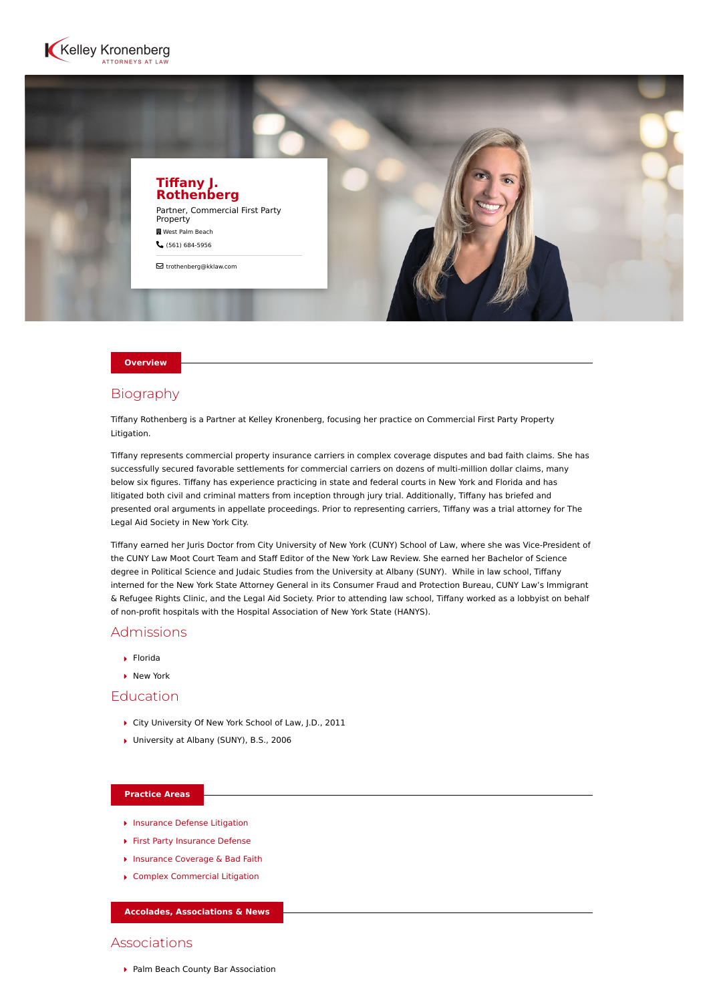



#### **Overview**

# Biography

Tiffany Rothenberg is a Partner at Kelley Kronenberg, focusing her practice on Commercial First Party Property Litigation.

Tiffany represents commercial property insurance carriers in complex coverage disputes and bad faith claims. She has successfully secured favorable settlements for commercial carriers on dozens of multi-million dollar claims, many below six figures. Tiffany has experience practicing in state and federal courts in New York and Florida and has litigated both civil and criminal matters from inception through jury trial. Additionally, Tiffany has briefed and presented oral arguments in appellate proceedings. Prior to representing carriers, Tiffany was a trial attorney for The Legal Aid Society in New York City.

Tiffany earned her Juris Doctor from City University of New York (CUNY) School of Law, where she was Vice-President of the CUNY Law Moot Court Team and Staff Editor of the New York Law Review. She earned her Bachelor of Science degree in Political Science and Judaic Studies from the University at Albany (SUNY). While in law school, Tiffany interned for the New York State Attorney General in its Consumer Fraud and Protection Bureau, CUNY Law's Immigrant & Refugee Rights Clinic, and the Legal Aid Society. Prior to attending law school, Tiffany worked as a lobbyist on behalf of non-profit hospitals with the Hospital Association of New York State (HANYS).

## Admissions

- Florida
- **New York**

# Education

- ▶ City University Of New York School of Law, J.D., 2011
- ▶ University at Albany (SUNY), B.S., 2006

## **Practice Areas**

- **[Insurance Defense Litigation](https://www.kelleykronenberg.com/our-practices/insurance/)**
- [First Party Insurance Defense](https://www.kelleykronenberg.com/our-practices/first-party-insurance-defense-coverage-bad-faith/)
- ▶ [Insurance Coverage & Bad Faith](https://www.kelleykronenberg.com/our-practices/insurance-defense-litigation/insurance-coverage-bad-faith/)
- [Complex Commercial Litigation](https://www.kelleykronenberg.com/our-practices/complex-commercial-litigation/)

#### **Accolades, Associations & News**

# Associations

▶ Palm Beach County Bar Association